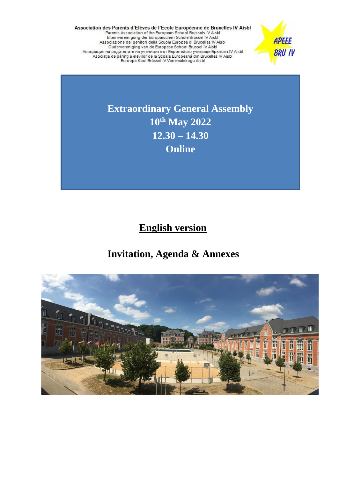Association des Parents d'Elèves de l'Ecole Européenne de Bruxelles IV Aisbl<br>Parents Association of the European School Brussels IV Aisbl<br>Elternvereinigung der Europäischen Schule Brüssel IV Aisbl<br>Associazione dei genitori Acouvalum Ha population Ha year of Espone School Disselves of the Bookca UV Aisbi<br>Asociația de părinți a elevilor de la Școala Europeană din Bruxelles IV Aisbi<br>Euroopa Kool Brüssel IV Vanematekogu Aisbi



**Extraordinary General Assembly 10th May 2022 12.30 – 14.30 Online**

 **English version**

# **Invitation, Agenda & Annexes**

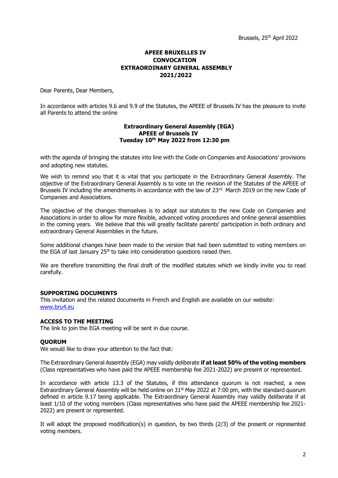## **APEEE BRUXELLES IV CONVOCATION EXTRAORDINARY GENERAL ASSEMBLY 2021/2022**

Dear Parents, Dear Members,

In accordance with articles 9.6 and 9.9 of the Statutes, the APEEE of Brussels IV has the pleasure to invite all Parents to attend the online

#### **Extraordinary General Assembly (EGA) APEEE of Brussels IV Tuesday 10th May 2022 from 12:30 pm**

with the agenda of bringing the statutes into line with the Code on Companies and Associations' provisions and adopting new statutes.

We wish to remind you that it is vital that you participate in the Extraordinary General Assembly. The objective of the Extraordinary General Assembly is to vote on the revision of the Statutes of the APEEE of Brussels IV including the amendments in accordance with the law of 23<sup>rd</sup> March 2019 on the new Code of Companies and Associations.

The objective of the changes themselves is to adapt our statutes to the new Code on Companies and Associations in order to allow for more flexible, advanced voting procedures and online general assemblies in the coming years. We believe that this will greatly facilitate parents' participation in both ordinary and extraordinary General Assemblies in the future.

Some additional changes have been made to the version that had been submitted to voting members on the EGA of last January  $25<sup>th</sup>$  to take into consideration questions raised then.

We are therefore transmitting the final draft of the modified statutes which we kindly invite you to read carefully.

## **SUPPORTING DOCUMENTS**

This invitation and the related documents in French and English are available on our website: [www.bru4.eu](http://www.bru4.eu/)

## **ACCESS TO THE MEETING**

The link to join the EGA meeting will be sent in due course.

## **QUORUM**

We would like to draw your attention to the fact that:

The Extraordinary General Assembly (EGA) may validly deliberate **if at least 50% of the voting members** (Class representatives who have paid the APEEE membership fee 2021-2022) are present or represented.

In accordance with article 13.3 of the Statutes, if this attendance quorum is not reached, a new Extraordinary General Assembly will be held online on 31<sup>st</sup> May 2022 at 7:00 pm, with the standard quorum defined in article 9.17 being applicable. The Extraordinary General Assembly may validly deliberate if at least 1/10 of the voting members (Class representatives who have paid the APEEE membership fee 2021- 2022) are present or represented.

It will adopt the proposed modification(s) in question, by two thirds (2/3) of the present or represented voting members.